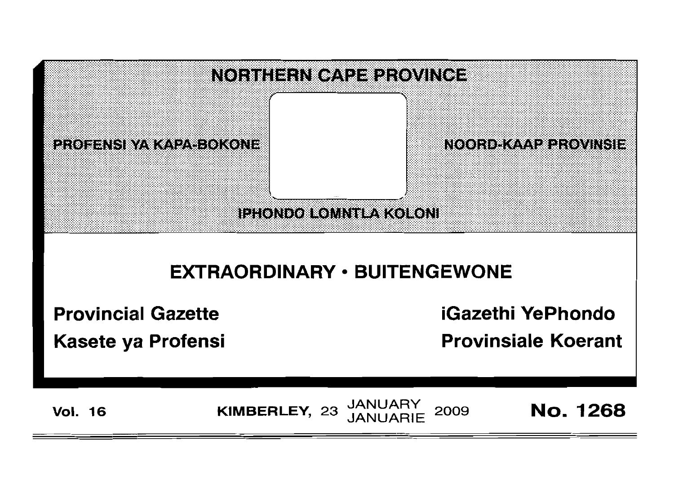